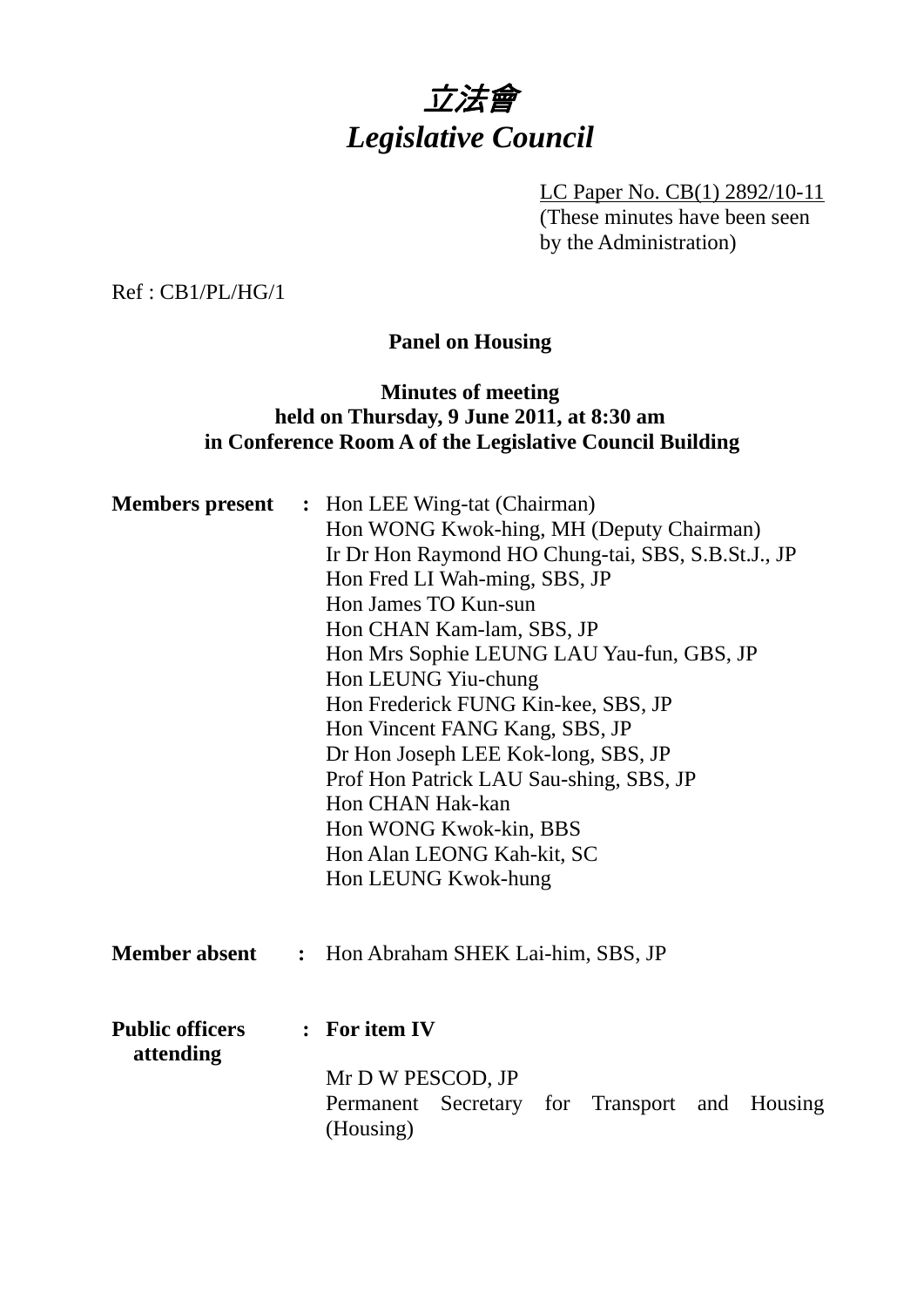

LC Paper No. CB(1) 2892/10-11 (These minutes have been seen by the Administration)

Ref : CB1/PL/HG/1

# **Panel on Housing**

# **Minutes of meeting held on Thursday, 9 June 2011, at 8:30 am in Conference Room A of the Legislative Council Building**

| <b>Members</b> present              | : Hon LEE Wing-tat (Chairman)<br>Hon WONG Kwok-hing, MH (Deputy Chairman)<br>Ir Dr Hon Raymond HO Chung-tai, SBS, S.B.St.J., JP<br>Hon Fred LI Wah-ming, SBS, JP<br>Hon James TO Kun-sun<br>Hon CHAN Kam-lam, SBS, JP<br>Hon Mrs Sophie LEUNG LAU Yau-fun, GBS, JP<br>Hon LEUNG Yiu-chung<br>Hon Frederick FUNG Kin-kee, SBS, JP<br>Hon Vincent FANG Kang, SBS, JP<br>Dr Hon Joseph LEE Kok-long, SBS, JP<br>Prof Hon Patrick LAU Sau-shing, SBS, JP<br>Hon CHAN Hak-kan<br>Hon WONG Kwok-kin, BBS<br>Hon Alan LEONG Kah-kit, SC<br>Hon LEUNG Kwok-hung<br>Hon Abraham SHEK Lai-him, SBS, JP |  |  |  |  |
|-------------------------------------|----------------------------------------------------------------------------------------------------------------------------------------------------------------------------------------------------------------------------------------------------------------------------------------------------------------------------------------------------------------------------------------------------------------------------------------------------------------------------------------------------------------------------------------------------------------------------------------------|--|--|--|--|
| <b>Member absent</b>                | $\ddot{\cdot}$                                                                                                                                                                                                                                                                                                                                                                                                                                                                                                                                                                               |  |  |  |  |
| <b>Public officers</b><br>attending | : For item IV<br>Mr D W PESCOD, JP<br>Permanent<br>Secretary for<br>Transport<br>Housing<br>and<br>(Housing)                                                                                                                                                                                                                                                                                                                                                                                                                                                                                 |  |  |  |  |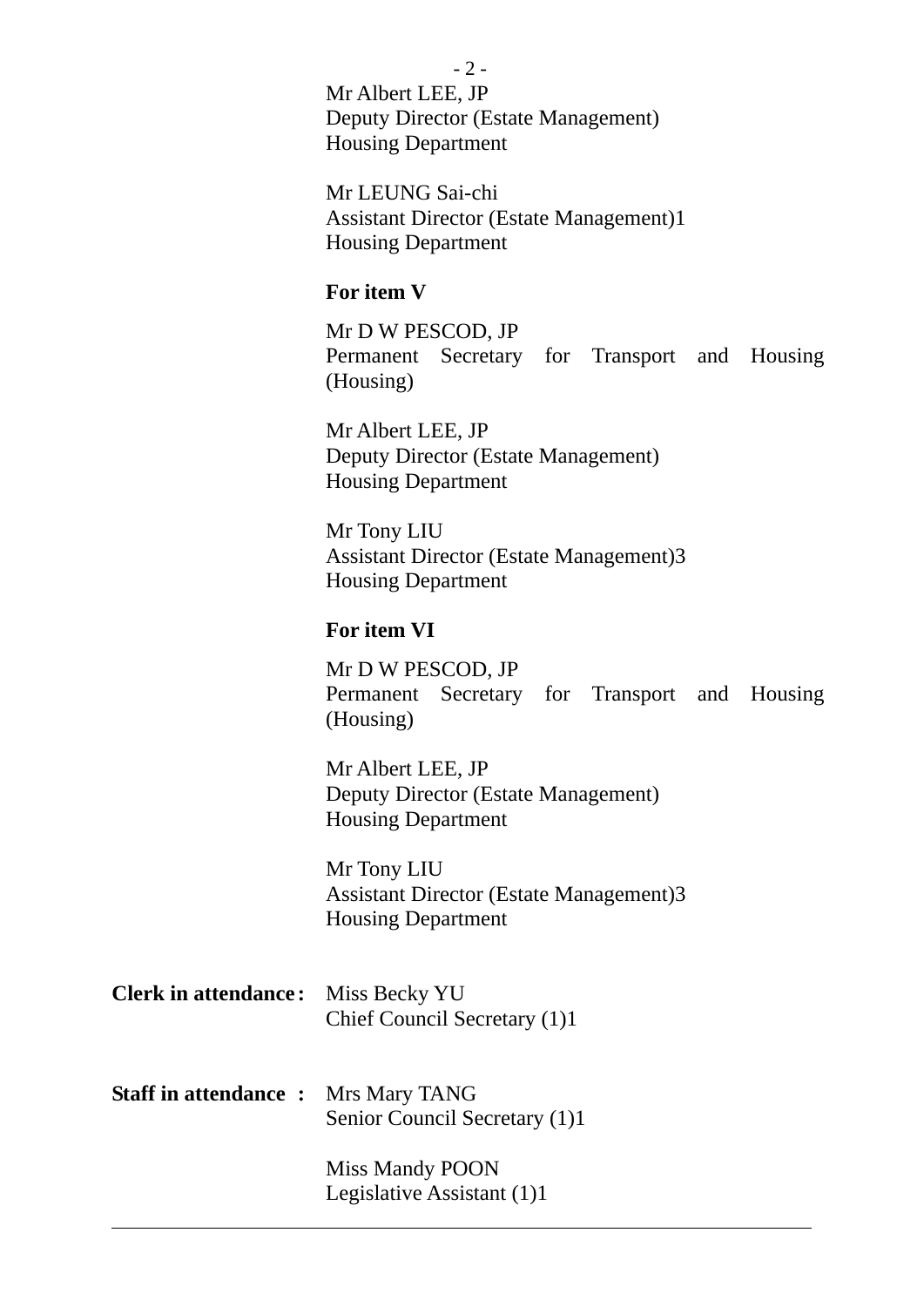- 2 - Mr Albert LEE, JP Deputy Director (Estate Management) Housing Department

Mr LEUNG Sai-chi Assistant Director (Estate Management)1 Housing Department

#### **For item V**

Mr D W PESCOD, JP Permanent Secretary for Transport and Housing (Housing)

Mr Albert LEE, JP Deputy Director (Estate Management) Housing Department

Mr Tony LIU Assistant Director (Estate Management)3 Housing Department

### **For item VI**

Mr D W PESCOD, JP Permanent Secretary for Transport and Housing (Housing)

Mr Albert LEE, JP Deputy Director (Estate Management) Housing Department

Mr Tony LIU Assistant Director (Estate Management)3 Housing Department

| <b>Clerk in attendance:</b> Miss Becky YU |                              |  |  |
|-------------------------------------------|------------------------------|--|--|
|                                           | Chief Council Secretary (1)1 |  |  |

**Staff in attendance :** Mrs Mary TANG Senior Council Secretary (1)1

 $\overline{a}$ 

Miss Mandy POON Legislative Assistant (1)1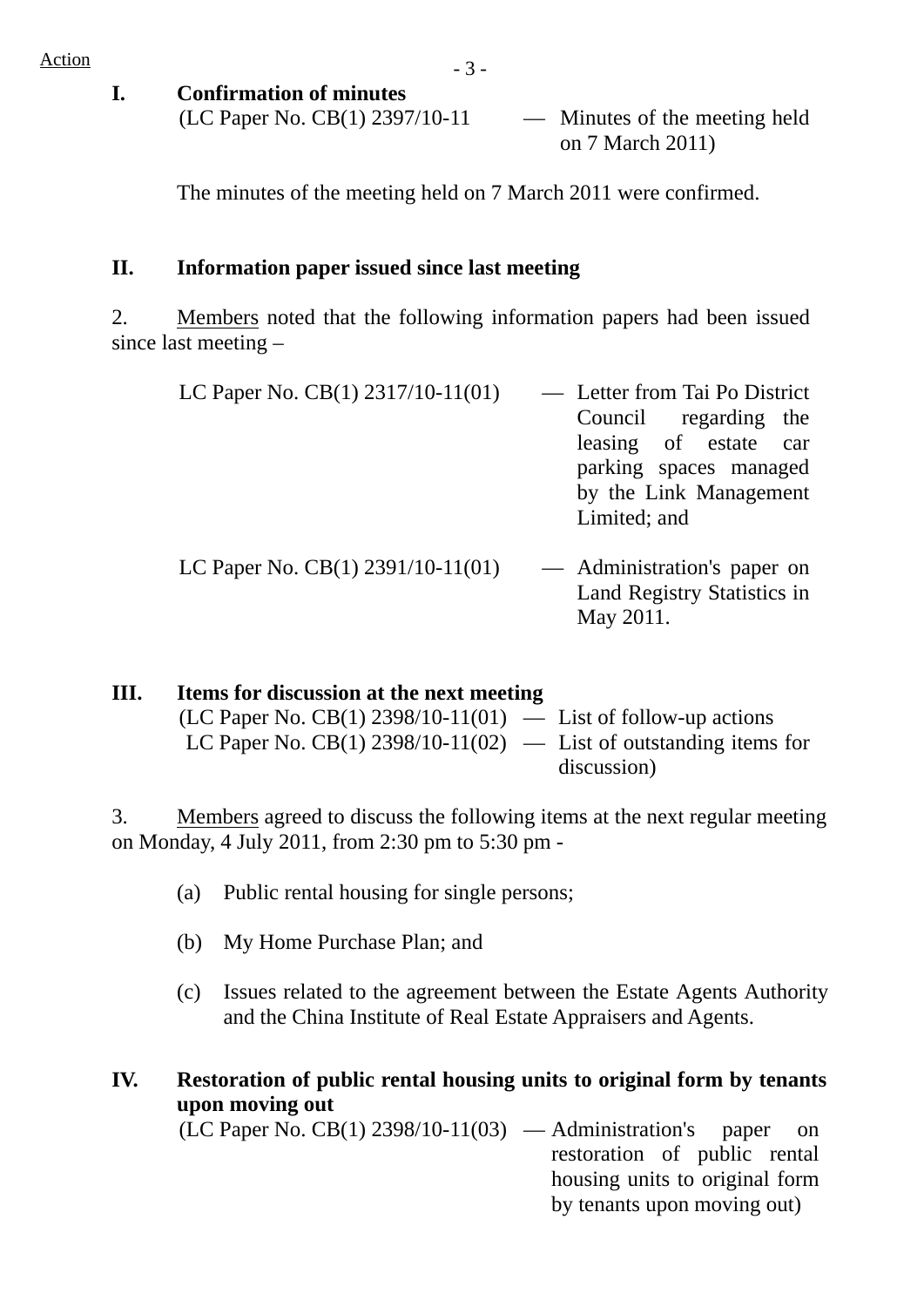- **I. Confirmation of minutes** 
	- $(LC$  Paper No.  $CB(1)$  2397/10-11 Minutes of the meeting held on 7 March 2011)

The minutes of the meeting held on 7 March 2011 were confirmed.

## **II. Information paper issued since last meeting**

2. Members noted that the following information papers had been issued since last meeting –

| LC Paper No. CB(1) 2317/10-11(01) | - Letter from Tai Po District                                           |
|-----------------------------------|-------------------------------------------------------------------------|
|                                   | Council regarding the                                                   |
|                                   | leasing of estate car                                                   |
|                                   | parking spaces managed                                                  |
|                                   | by the Link Management                                                  |
|                                   | Limited; and                                                            |
| LC Paper No. CB(1) 2391/10-11(01) | — Administration's paper on<br>Land Registry Statistics in<br>May 2011. |

| Ш. | Items for discussion at the next meeting                          |             |
|----|-------------------------------------------------------------------|-------------|
|    | $(LC$ Paper No. CB(1) 2398/10-11(01) — List of follow-up actions  |             |
|    | LC Paper No. CB(1) 2398/10-11(02) — List of outstanding items for |             |
|    |                                                                   | discussion) |

3. Members agreed to discuss the following items at the next regular meeting on Monday, 4 July 2011, from 2:30 pm to 5:30 pm -

- (a) Public rental housing for single persons;
- (b) My Home Purchase Plan; and
- (c) Issues related to the agreement between the Estate Agents Authority and the China Institute of Real Estate Appraisers and Agents.

**IV. Restoration of public rental housing units to original form by tenants upon moving out** 

 $(LC$  Paper No.  $CB(1)$  2398/10-11(03) — Administration's paper on restoration of public rental housing units to original form by tenants upon moving out)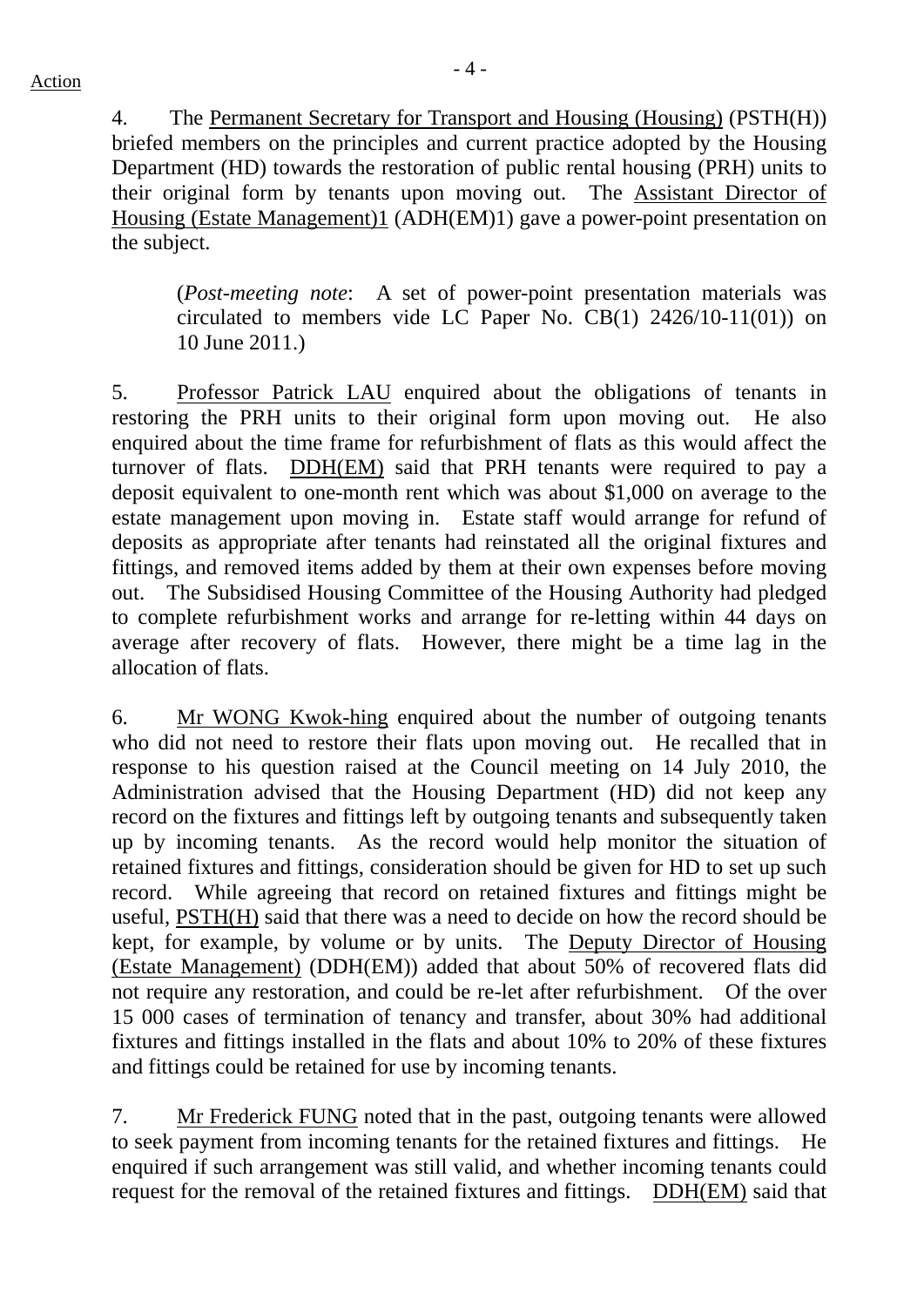4. The Permanent Secretary for Transport and Housing (Housing) (PSTH(H)) briefed members on the principles and current practice adopted by the Housing Department (HD) towards the restoration of public rental housing (PRH) units to their original form by tenants upon moving out. The Assistant Director of Housing (Estate Management)1 (ADH(EM)1) gave a power-point presentation on the subject.

(*Post-meeting note*: A set of power-point presentation materials was circulated to members vide LC Paper No. CB(1) 2426/10-11(01)) on 10 June 2011.)

5. Professor Patrick LAU enquired about the obligations of tenants in restoring the PRH units to their original form upon moving out. He also enquired about the time frame for refurbishment of flats as this would affect the turnover of flats. DDH(EM) said that PRH tenants were required to pay a deposit equivalent to one-month rent which was about \$1,000 on average to the estate management upon moving in. Estate staff would arrange for refund of deposits as appropriate after tenants had reinstated all the original fixtures and fittings, and removed items added by them at their own expenses before moving out. The Subsidised Housing Committee of the Housing Authority had pledged to complete refurbishment works and arrange for re-letting within 44 days on average after recovery of flats. However, there might be a time lag in the allocation of flats.

6. Mr WONG Kwok-hing enquired about the number of outgoing tenants who did not need to restore their flats upon moving out. He recalled that in response to his question raised at the Council meeting on 14 July 2010, the Administration advised that the Housing Department (HD) did not keep any record on the fixtures and fittings left by outgoing tenants and subsequently taken up by incoming tenants. As the record would help monitor the situation of retained fixtures and fittings, consideration should be given for HD to set up such record. While agreeing that record on retained fixtures and fittings might be useful, PSTH(H) said that there was a need to decide on how the record should be kept, for example, by volume or by units. The Deputy Director of Housing (Estate Management) (DDH(EM)) added that about 50% of recovered flats did not require any restoration, and could be re-let after refurbishment. Of the over 15 000 cases of termination of tenancy and transfer, about 30% had additional fixtures and fittings installed in the flats and about 10% to 20% of these fixtures and fittings could be retained for use by incoming tenants.

7. Mr Frederick FUNG noted that in the past, outgoing tenants were allowed to seek payment from incoming tenants for the retained fixtures and fittings. He enquired if such arrangement was still valid, and whether incoming tenants could request for the removal of the retained fixtures and fittings. DDH(EM) said that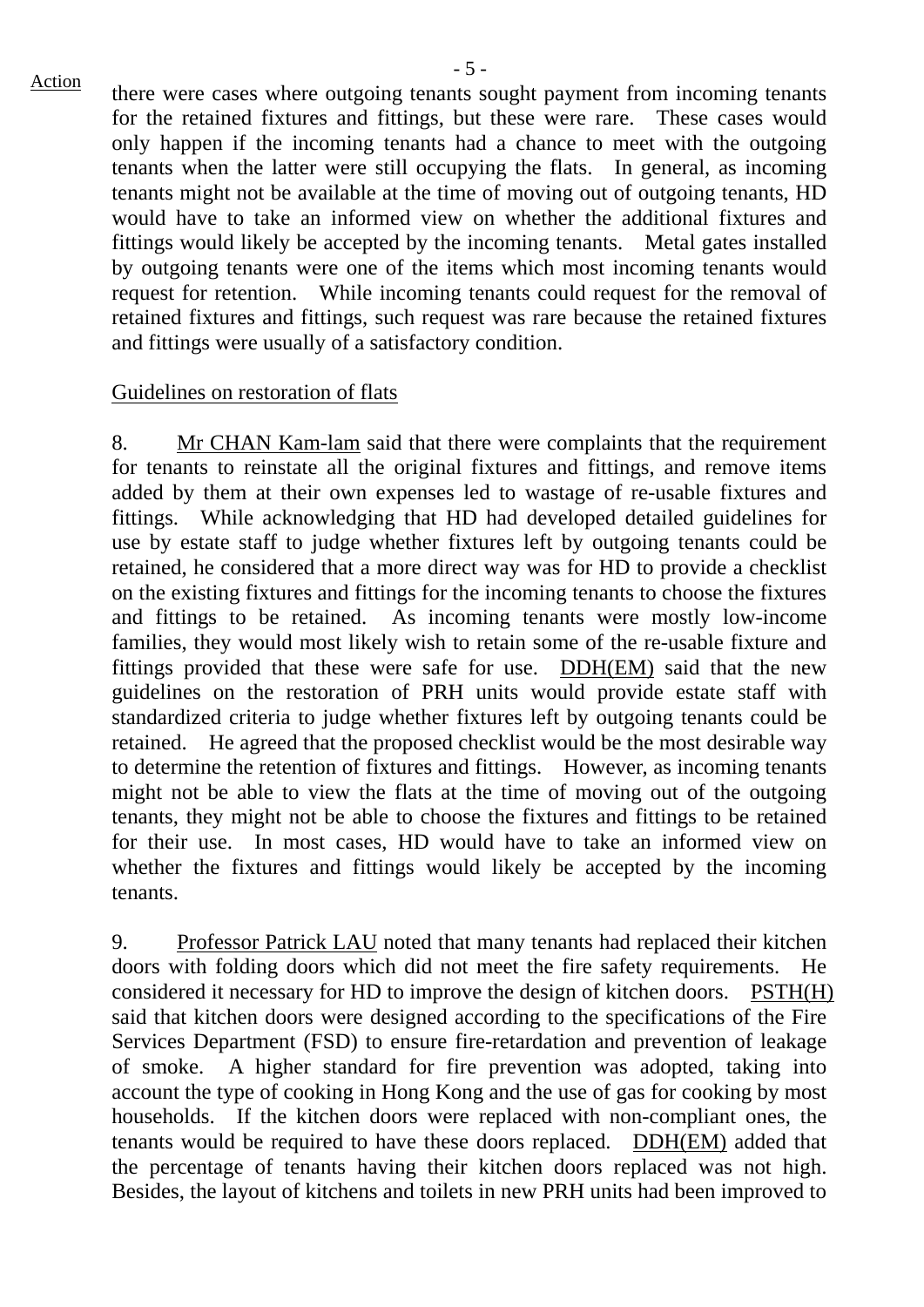$\frac{\text{Action}}{\text{After}}$  there were cases where outgoing tenants sought payment from incoming tenants for the retained fixtures and fittings, but these were rare. These cases would only happen if the incoming tenants had a chance to meet with the outgoing tenants when the latter were still occupying the flats. In general, as incoming tenants might not be available at the time of moving out of outgoing tenants, HD would have to take an informed view on whether the additional fixtures and fittings would likely be accepted by the incoming tenants. Metal gates installed by outgoing tenants were one of the items which most incoming tenants would request for retention. While incoming tenants could request for the removal of retained fixtures and fittings, such request was rare because the retained fixtures and fittings were usually of a satisfactory condition.

### Guidelines on restoration of flats

8. Mr CHAN Kam-lam said that there were complaints that the requirement for tenants to reinstate all the original fixtures and fittings, and remove items added by them at their own expenses led to wastage of re-usable fixtures and fittings. While acknowledging that HD had developed detailed guidelines for use by estate staff to judge whether fixtures left by outgoing tenants could be retained, he considered that a more direct way was for HD to provide a checklist on the existing fixtures and fittings for the incoming tenants to choose the fixtures and fittings to be retained. As incoming tenants were mostly low-income families, they would most likely wish to retain some of the re-usable fixture and fittings provided that these were safe for use. DDH(EM) said that the new guidelines on the restoration of PRH units would provide estate staff with standardized criteria to judge whether fixtures left by outgoing tenants could be retained. He agreed that the proposed checklist would be the most desirable way to determine the retention of fixtures and fittings. However, as incoming tenants might not be able to view the flats at the time of moving out of the outgoing tenants, they might not be able to choose the fixtures and fittings to be retained for their use. In most cases, HD would have to take an informed view on whether the fixtures and fittings would likely be accepted by the incoming tenants.

9. Professor Patrick LAU noted that many tenants had replaced their kitchen doors with folding doors which did not meet the fire safety requirements. He considered it necessary for HD to improve the design of kitchen doors. PSTH(H) said that kitchen doors were designed according to the specifications of the Fire Services Department (FSD) to ensure fire-retardation and prevention of leakage of smoke. A higher standard for fire prevention was adopted, taking into account the type of cooking in Hong Kong and the use of gas for cooking by most households. If the kitchen doors were replaced with non-compliant ones, the tenants would be required to have these doors replaced. DDH(EM) added that the percentage of tenants having their kitchen doors replaced was not high. Besides, the layout of kitchens and toilets in new PRH units had been improved to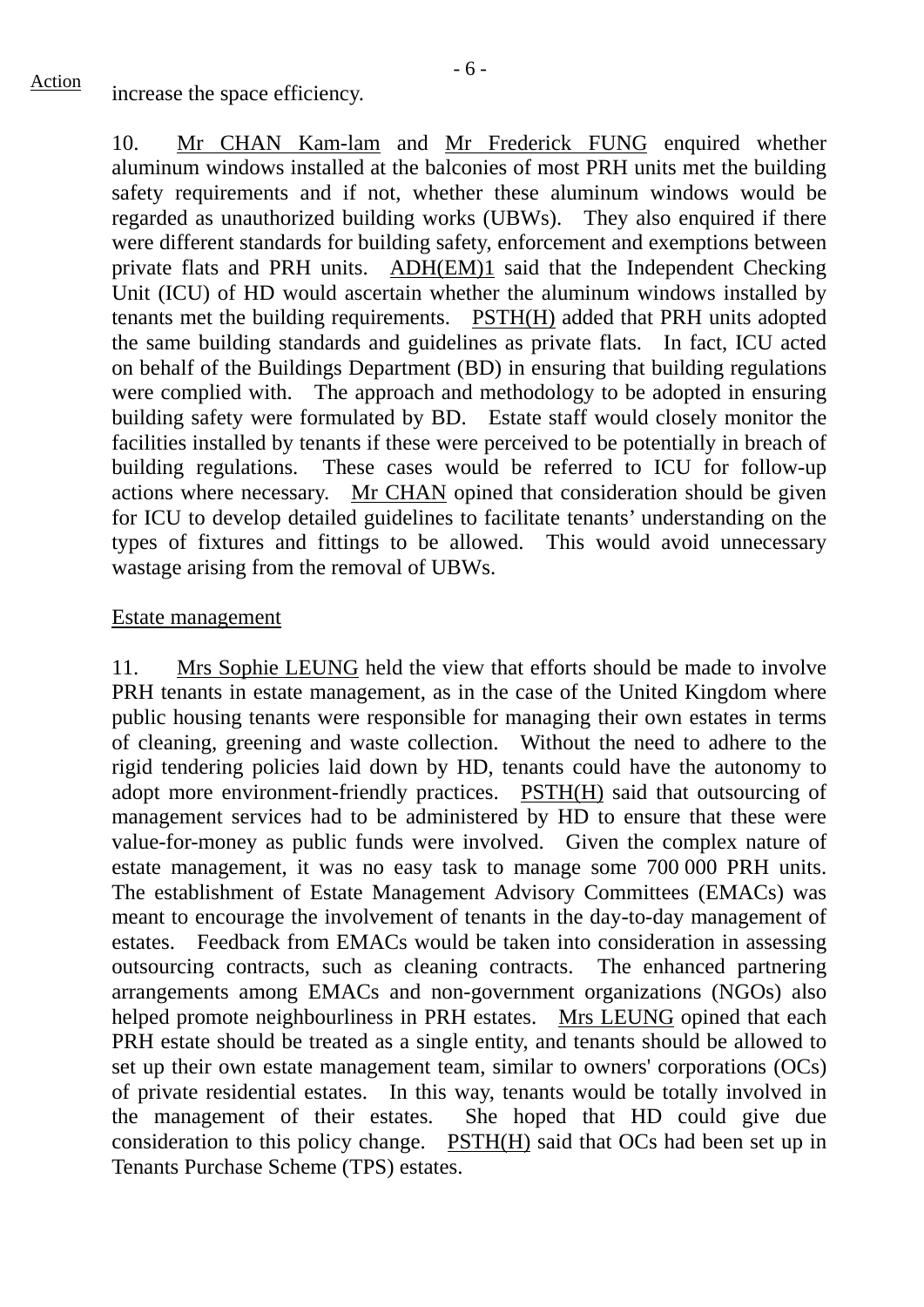$\frac{\text{Action}}{\text{increase}}$  increase the space efficiency.

10. Mr CHAN Kam-lam and Mr Frederick FUNG enquired whether aluminum windows installed at the balconies of most PRH units met the building safety requirements and if not, whether these aluminum windows would be regarded as unauthorized building works (UBWs). They also enquired if there were different standards for building safety, enforcement and exemptions between private flats and PRH units. ADH(EM)1 said that the Independent Checking Unit (ICU) of HD would ascertain whether the aluminum windows installed by tenants met the building requirements. PSTH(H) added that PRH units adopted the same building standards and guidelines as private flats. In fact, ICU acted on behalf of the Buildings Department (BD) in ensuring that building regulations were complied with. The approach and methodology to be adopted in ensuring building safety were formulated by BD. Estate staff would closely monitor the facilities installed by tenants if these were perceived to be potentially in breach of building regulations. These cases would be referred to ICU for follow-up actions where necessary. Mr CHAN opined that consideration should be given for ICU to develop detailed guidelines to facilitate tenants' understanding on the types of fixtures and fittings to be allowed. This would avoid unnecessary wastage arising from the removal of UBWs.

## Estate management

11. Mrs Sophie LEUNG held the view that efforts should be made to involve PRH tenants in estate management, as in the case of the United Kingdom where public housing tenants were responsible for managing their own estates in terms of cleaning, greening and waste collection. Without the need to adhere to the rigid tendering policies laid down by HD, tenants could have the autonomy to adopt more environment-friendly practices. PSTH(H) said that outsourcing of management services had to be administered by HD to ensure that these were value-for-money as public funds were involved. Given the complex nature of estate management, it was no easy task to manage some 700 000 PRH units. The establishment of Estate Management Advisory Committees (EMACs) was meant to encourage the involvement of tenants in the day-to-day management of estates. Feedback from EMACs would be taken into consideration in assessing outsourcing contracts, such as cleaning contracts. The enhanced partnering arrangements among EMACs and non-government organizations (NGOs) also helped promote neighbourliness in PRH estates.Mrs LEUNG opined that each PRH estate should be treated as a single entity, and tenants should be allowed to set up their own estate management team, similar to owners' corporations (OCs) of private residential estates. In this way, tenants would be totally involved in the management of their estates. She hoped that HD could give due consideration to this policy change. PSTH(H) said that OCs had been set up in Tenants Purchase Scheme (TPS) estates.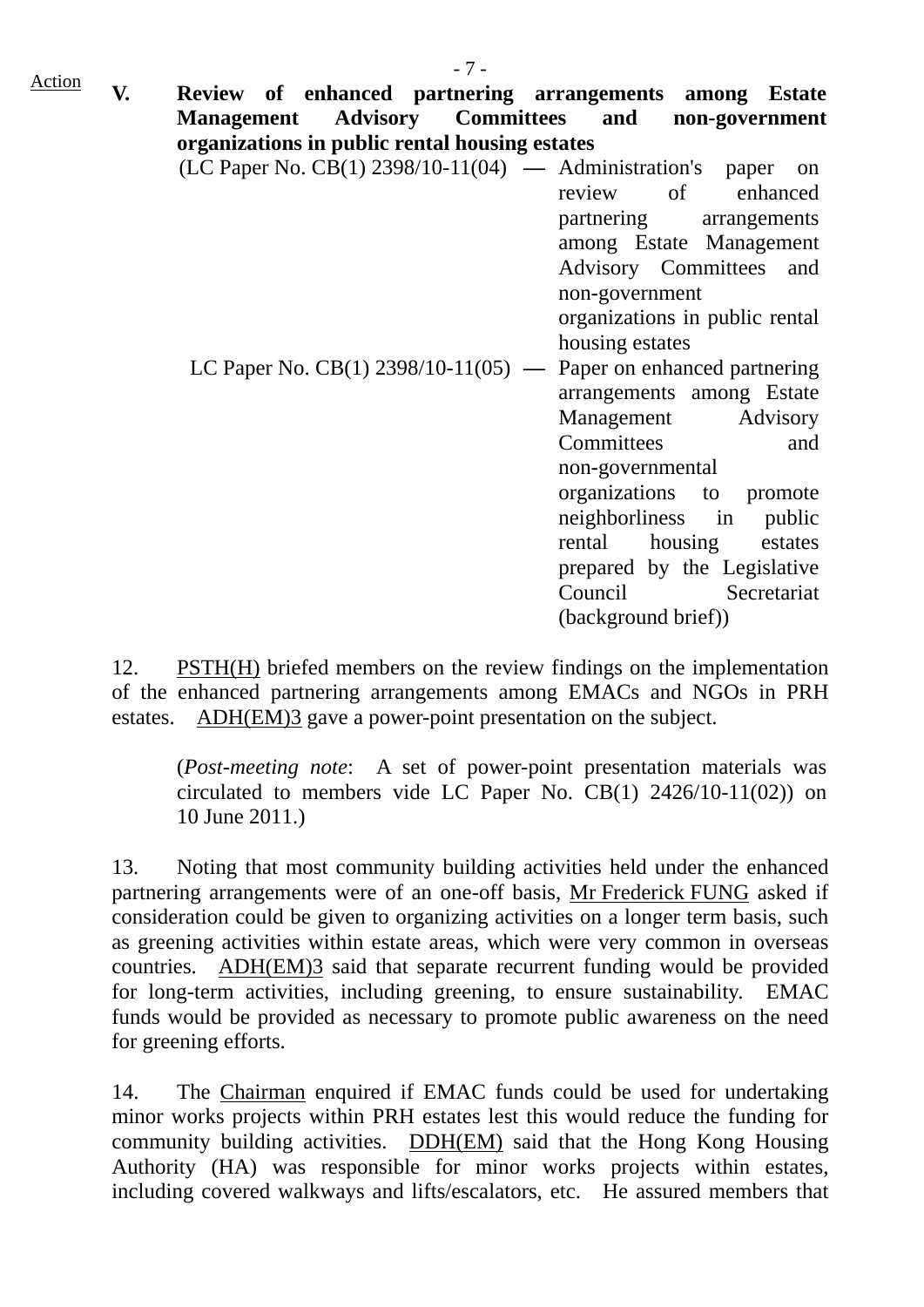- 7 - Action **V. Review of enhanced partnering arrangements among Estate Management Advisory Committees and non-government organizations in public rental housing estates**  (LC Paper No. CB(1) 2398/10-11(04) **—** Administration's paper on review of enhanced partnering arrangements among Estate Management Advisory Committees and non-government

> organizations in public rental housing estates

LC Paper No. CB(1) 2398/10-11(05) **—** Paper on enhanced partnering arrangements among Estate Management Advisory Committees and non-governmental organizations to promote neighborliness in public rental housing estates prepared by the Legislative Council Secretariat (background brief))

12. PSTH(H) briefed members on the review findings on the implementation of the enhanced partnering arrangements among EMACs and NGOs in PRH estates. ADH(EM)3 gave a power-point presentation on the subject.

(*Post-meeting note*: A set of power-point presentation materials was circulated to members vide LC Paper No. CB(1) 2426/10-11(02)) on 10 June 2011.)

13. Noting that most community building activities held under the enhanced partnering arrangements were of an one-off basis, Mr Frederick FUNG asked if consideration could be given to organizing activities on a longer term basis, such as greening activities within estate areas, which were very common in overseas countries. ADH(EM)3 said that separate recurrent funding would be provided for long-term activities, including greening, to ensure sustainability. EMAC funds would be provided as necessary to promote public awareness on the need for greening efforts.

14. The Chairman enquired if EMAC funds could be used for undertaking minor works projects within PRH estates lest this would reduce the funding for community building activities. DDH(EM) said that the Hong Kong Housing Authority (HA) was responsible for minor works projects within estates, including covered walkways and lifts/escalators, etc. He assured members that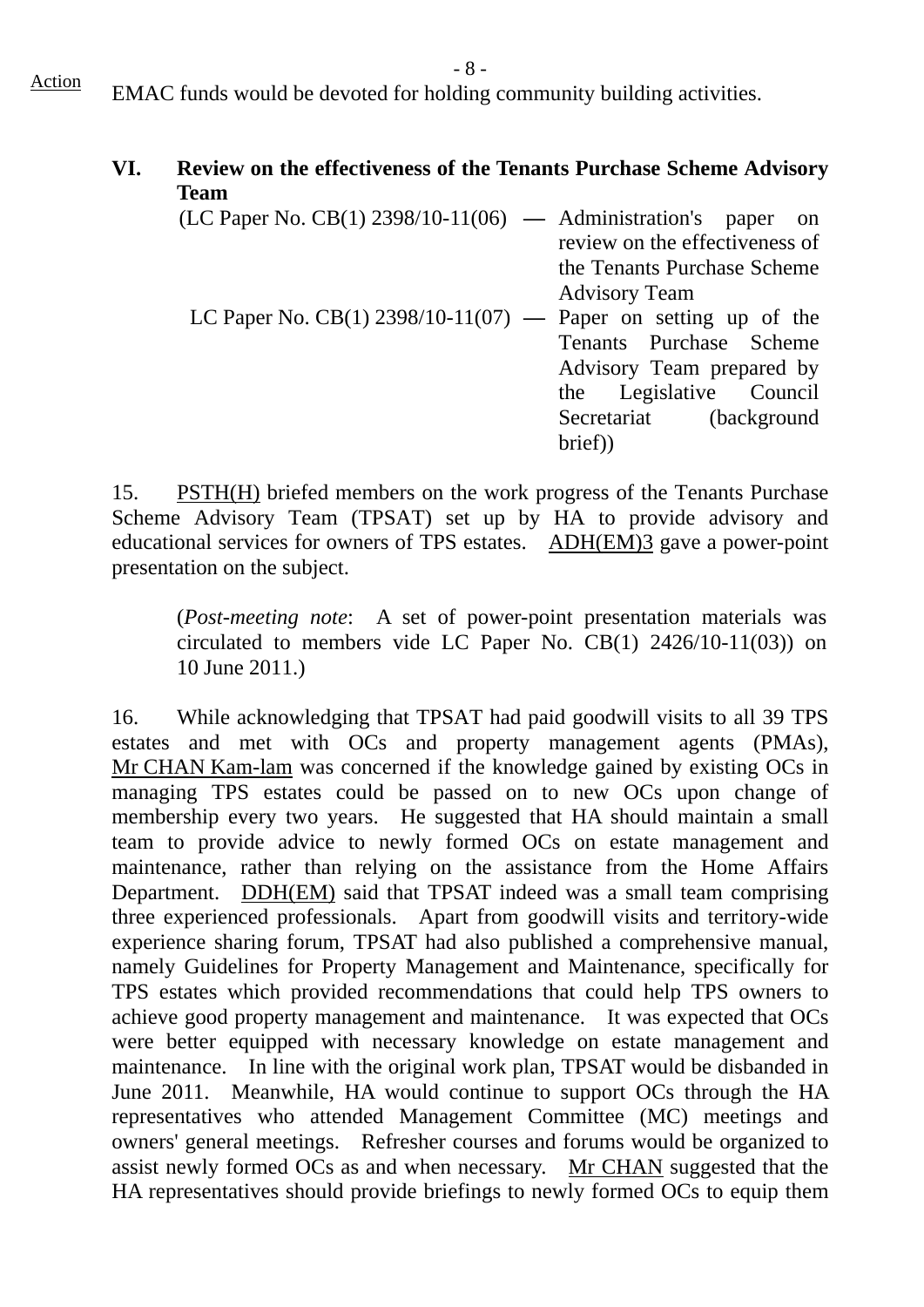$\frac{\text{Action}}{\text{EMAC}}$  EMAC funds would be devoted for holding community building activities.

## **VI. Review on the effectiveness of the Tenants Purchase Scheme Advisory Team**

| $(LC$ Paper No. $CB(1)$ 2398/10-11(06) — Administration's paper on |
|--------------------------------------------------------------------|
| review on the effectiveness of                                     |
| the Tenants Purchase Scheme                                        |
|                                                                    |
| LC Paper No. CB(1) 2398/10-11(07) — Paper on setting up of the     |
| Tenants Purchase Scheme                                            |
| Advisory Team prepared by                                          |
| the Legislative Council                                            |
| Secretariat (background                                            |
|                                                                    |
|                                                                    |

15. PSTH(H) briefed members on the work progress of the Tenants Purchase Scheme Advisory Team (TPSAT) set up by HA to provide advisory and educational services for owners of TPS estates. ADH(EM)3 gave a power-point presentation on the subject.

(*Post-meeting note*: A set of power-point presentation materials was circulated to members vide LC Paper No. CB(1) 2426/10-11(03)) on 10 June 2011.)

16. While acknowledging that TPSAT had paid goodwill visits to all 39 TPS estates and met with OCs and property management agents (PMAs), Mr CHAN Kam-lam was concerned if the knowledge gained by existing OCs in managing TPS estates could be passed on to new OCs upon change of membership every two years. He suggested that HA should maintain a small team to provide advice to newly formed OCs on estate management and maintenance, rather than relying on the assistance from the Home Affairs Department. DDH(EM) said that TPSAT indeed was a small team comprising three experienced professionals. Apart from goodwill visits and territory-wide experience sharing forum, TPSAT had also published a comprehensive manual, namely Guidelines for Property Management and Maintenance, specifically for TPS estates which provided recommendations that could help TPS owners to achieve good property management and maintenance. It was expected that OCs were better equipped with necessary knowledge on estate management and maintenance. In line with the original work plan, TPSAT would be disbanded in June 2011. Meanwhile, HA would continue to support OCs through the HA representatives who attended Management Committee (MC) meetings and owners' general meetings. Refresher courses and forums would be organized to assist newly formed OCs as and when necessary. Mr CHAN suggested that the HA representatives should provide briefings to newly formed OCs to equip them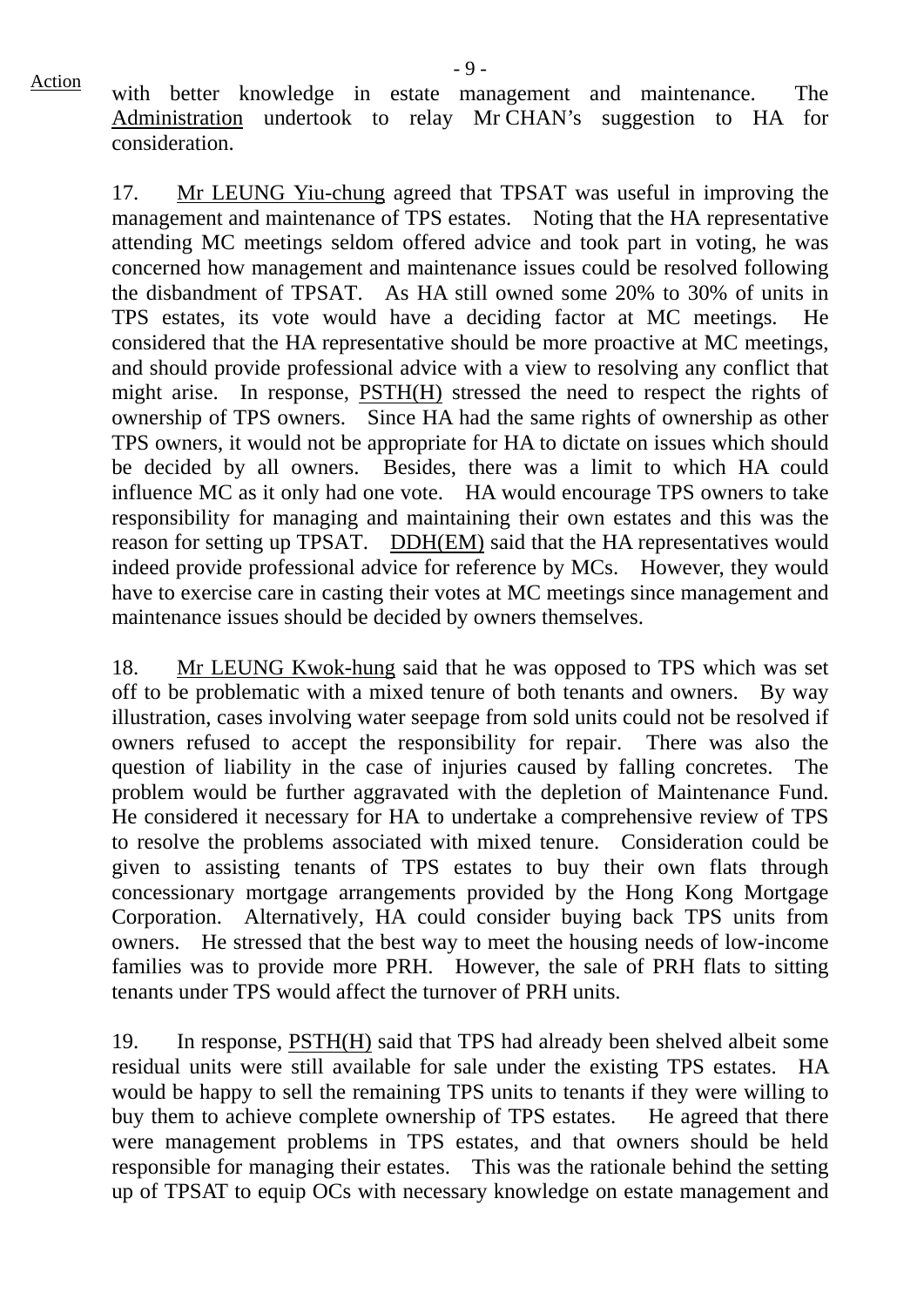Action with better knowledge in estate management and maintenance. The Administration undertook to relay Mr CHAN's suggestion to HA for consideration.

17. Mr LEUNG Yiu-chung agreed that TPSAT was useful in improving the management and maintenance of TPS estates. Noting that the HA representative attending MC meetings seldom offered advice and took part in voting, he was concerned how management and maintenance issues could be resolved following the disbandment of TPSAT. As HA still owned some 20% to 30% of units in TPS estates, its vote would have a deciding factor at MC meetings. He considered that the HA representative should be more proactive at MC meetings, and should provide professional advice with a view to resolving any conflict that might arise. In response, PSTH(H) stressed the need to respect the rights of ownership of TPS owners. Since HA had the same rights of ownership as other TPS owners, it would not be appropriate for HA to dictate on issues which should be decided by all owners. Besides, there was a limit to which HA could influence MC as it only had one vote. HA would encourage TPS owners to take responsibility for managing and maintaining their own estates and this was the reason for setting up TPSAT. DDH(EM) said that the HA representatives would indeed provide professional advice for reference by MCs. However, they would have to exercise care in casting their votes at MC meetings since management and maintenance issues should be decided by owners themselves.

18. Mr LEUNG Kwok-hung said that he was opposed to TPS which was set off to be problematic with a mixed tenure of both tenants and owners. By way illustration, cases involving water seepage from sold units could not be resolved if owners refused to accept the responsibility for repair. There was also the question of liability in the case of injuries caused by falling concretes. The problem would be further aggravated with the depletion of Maintenance Fund. He considered it necessary for HA to undertake a comprehensive review of TPS to resolve the problems associated with mixed tenure. Consideration could be given to assisting tenants of TPS estates to buy their own flats through concessionary mortgage arrangements provided by the Hong Kong Mortgage Corporation. Alternatively, HA could consider buying back TPS units from owners. He stressed that the best way to meet the housing needs of low-income families was to provide more PRH. However, the sale of PRH flats to sitting tenants under TPS would affect the turnover of PRH units.

19. In response, PSTH(H) said that TPS had already been shelved albeit some residual units were still available for sale under the existing TPS estates. HA would be happy to sell the remaining TPS units to tenants if they were willing to buy them to achieve complete ownership of TPS estates. He agreed that there were management problems in TPS estates, and that owners should be held responsible for managing their estates. This was the rationale behind the setting up of TPSAT to equip OCs with necessary knowledge on estate management and